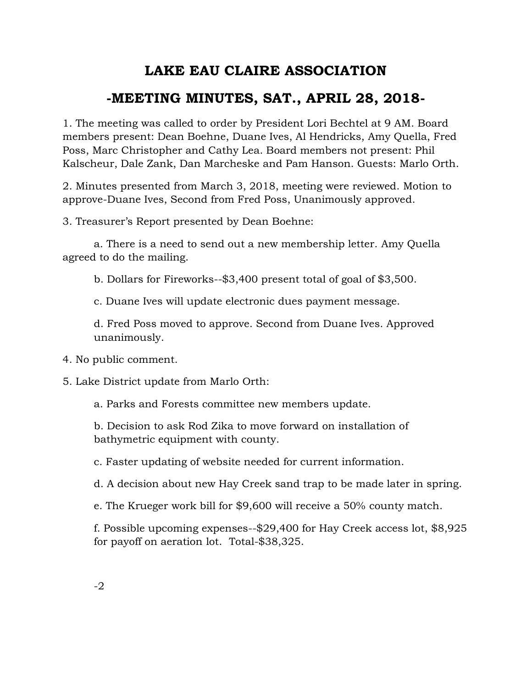## **LAKE EAU CLAIRE ASSOCIATION**

## **-MEETING MINUTES, SAT., APRIL 28, 2018-**

1. The meeting was called to order by President Lori Bechtel at 9 AM. Board members present: Dean Boehne, Duane Ives, Al Hendricks, Amy Quella, Fred Poss, Marc Christopher and Cathy Lea. Board members not present: Phil Kalscheur, Dale Zank, Dan Marcheske and Pam Hanson. Guests: Marlo Orth.

2. Minutes presented from March 3, 2018, meeting were reviewed. Motion to approve-Duane Ives, Second from Fred Poss, Unanimously approved.

3. Treasurer's Report presented by Dean Boehne:

a. There is a need to send out a new membership letter. Amy Quella agreed to do the mailing.

b. Dollars for Fireworks--\$3,400 present total of goal of \$3,500.

c. Duane Ives will update electronic dues payment message.

d. Fred Poss moved to approve. Second from Duane Ives. Approved unanimously.

4. No public comment.

5. Lake District update from Marlo Orth:

a. Parks and Forests committee new members update.

b. Decision to ask Rod Zika to move forward on installation of bathymetric equipment with county.

c. Faster updating of website needed for current information.

d. A decision about new Hay Creek sand trap to be made later in spring.

e. The Krueger work bill for \$9,600 will receive a 50% county match.

f. Possible upcoming expenses--\$29,400 for Hay Creek access lot, \$8,925 for payoff on aeration lot. Total-\$38,325.